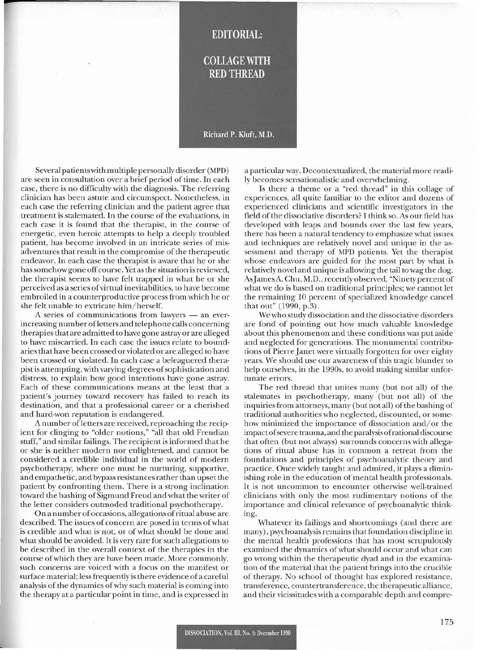## **EDITORIAL:**

## **COLLAGE WITH RED THREAD**

## Richard P. Kluft, M.D.

Several patients with multiple personally disorder (MPD) are seen in consultation over a brief period of time. In each case, there is no difficulty with the diagnosis. The referring clinician has been astute and circumspect. Nonetheless, in each case the referring clinician and the patient agree that treatment is stalemated. In the course of the evaluations, in each case it is found that the therapist, in the course of energetic, even heroic attempts to help a deeply troubled patient, has become involved in an intricate series of misadventures that result in the compromise of the therapeutic endeavor. In each case the therapist is aware that he or she has somehow gone off course. Yet as the situation is reviewed, the therapist seems to have felt trapped in what he or she perceived as a series ofvirtual inevitabilities, to have become embroiled in a counterproductive process from which he or she felt unable to extricate him/herself.

A series of communications from lawyers - an everincreasing number ofletters and telephone calls concerning therapies that are admitted to have gone astray or are alleged to have miscarried. In each case the issues relate to boundaries that have been crossed or violated or are alleged to have been crossed or violated. In each case a beleaguered therapist is attempting, with varying degrees of sophistication and distress, to explain how good intentions have gone astray. Each of these communications means at the least that a patient's journey toward recovery has failed to reach its destination, and that a professional career or a cherished and hard-won reputation is endangered.

A number ofletters are received, reproaching the recipient for clinging to "older notions," "all that old Freudian stuff," and similar failings. The recipient is informed that he or she is neither modern nor enlightened, and cannot be considered a credible individual in the world of modern psychotherapy, where one must be nurturing, supportive, and empathetic, and bypass resistancesrather than upset the patient by confronting them. There is a strong inclination toward the bashing of Sigmund Freud and what the writer of the letter considers outmoded traditional psychotherapy.

On a number of occasions, allegations of ritual abuse are described. The issues of concern are posed in terms ofwhat is credible and what is not, or of what should be done and what should be avoided. It is very rare for such allegations to be described in the overall context of the therapies in the course ofwhich they are have been made. More commonly, such concerns are voiced with a focus on the manifest or surface material; less frequently is there evidence of a careful analysis of the dynamics of why such material is coming into the therapy at a particular point in time, and is expressed in a particular way. Decontextualized, the material more readily becomes sensationalistic and overwhelming.

Is there a theme or a "red thread" in this collage of experiences, all quite familiar to the editor and dozens of experienced clinicians and scientific investigators in the field of the dissociative disorders? I think so. As our field has developed with leaps and bounds over the last few years, there has been a natural tendency to emphasize what issues and techniques are relatively novel and unique in the assessment and therapy of MPD patients. Yet the therapist whose endeavors are guided for the most part by what is relatively novel and unique is allowing the tail to wag the dog. AsJamesA. Chu, M.D., recently observed, "Ninety percent of what we do is based on traditional principles; we cannot let the remaining 10 percent of specialized knowledge cancel that out" (1990, p.3).

We who study dissociation and the dissociative disorders are fond of pointing out how much valuable knowledge about this phenomenon and these conditions was put aside and neglected for generations. The monumental contributions of Pierre Janet were virtually forgotten for over eighty years. We should use our awareness of this tragic blunder to help ourselves, in the 1990s, to avoid making similar unfortunate errors.

The red thread that unites many (but not all) of the stalemates in psychotherapy, many (but not all) of the inquiries from attorneys, many (but not all) of the bashing of traditional authorities who neglected, discounted, or somehow minimized the importance of dissociation and/or the impactofsevere trauma, and the paralysis ofrational discourse that often (but not always) surrounds concerns with allegations of ritual abuse has in common a retreat from the foundations and principles of psychoanalytic theory and practice. Once widely taught and admired, it plays a diminishing role in the education of mental health professionals. It is not uncommon to encounter otherwise well-trained clinicians with only the most rudimentary notions of the importance and clinical relevance of psychoanalytic thinking.

Whatever its failings and shortcomings (and there are many), psychoanalysis remains that foundation discipline in the mental health professions that has most scrupulously examined the dynamics ofwhat should occur and what can go wrong within the therapeutic dyad and in the examination of the material that the patient brings into the crucible of therapy. No school of thought has explored resistance, transference, countertransference, the therapeutic alliance, and their vicissitudes with a comparable depth and compre